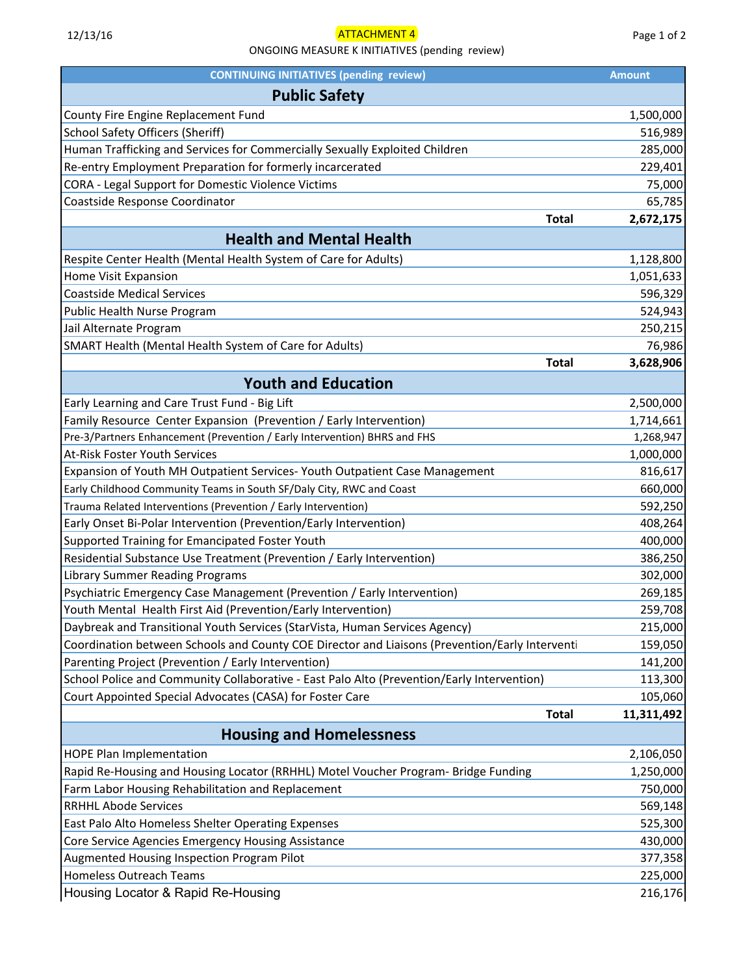## ONGOING MEASURE K INITIATIVES (pending review)

| <b>CONTINUING INITIATIVES (pending review)</b>                                                                        | <b>Amount</b> |
|-----------------------------------------------------------------------------------------------------------------------|---------------|
| <b>Public Safety</b>                                                                                                  |               |
| County Fire Engine Replacement Fund                                                                                   | 1,500,000     |
| <b>School Safety Officers (Sheriff)</b>                                                                               | 516,989       |
| Human Trafficking and Services for Commercially Sexually Exploited Children                                           | 285,000       |
| Re-entry Employment Preparation for formerly incarcerated                                                             | 229,401       |
| CORA - Legal Support for Domestic Violence Victims                                                                    | 75,000        |
| Coastside Response Coordinator                                                                                        | 65,785        |
| <b>Total</b>                                                                                                          | 2,672,175     |
| <b>Health and Mental Health</b>                                                                                       |               |
| Respite Center Health (Mental Health System of Care for Adults)                                                       | 1,128,800     |
| Home Visit Expansion                                                                                                  | 1,051,633     |
| <b>Coastside Medical Services</b>                                                                                     | 596,329       |
| Public Health Nurse Program                                                                                           | 524,943       |
| Jail Alternate Program                                                                                                | 250,215       |
| SMART Health (Mental Health System of Care for Adults)                                                                | 76,986        |
| <b>Total</b>                                                                                                          | 3,628,906     |
| <b>Youth and Education</b>                                                                                            |               |
| Early Learning and Care Trust Fund - Big Lift                                                                         | 2,500,000     |
| Family Resource Center Expansion (Prevention / Early Intervention)                                                    | 1,714,661     |
| Pre-3/Partners Enhancement (Prevention / Early Intervention) BHRS and FHS                                             | 1,268,947     |
| At-Risk Foster Youth Services                                                                                         | 1,000,000     |
| Expansion of Youth MH Outpatient Services-Youth Outpatient Case Management                                            | 816,617       |
| Early Childhood Community Teams in South SF/Daly City, RWC and Coast                                                  | 660,000       |
| Trauma Related Interventions (Prevention / Early Intervention)                                                        | 592,250       |
| Early Onset Bi-Polar Intervention (Prevention/Early Intervention)                                                     | 408,264       |
| Supported Training for Emancipated Foster Youth                                                                       | 400,000       |
| Residential Substance Use Treatment (Prevention / Early Intervention)                                                 | 386,250       |
| <b>Library Summer Reading Programs</b>                                                                                | 302,000       |
| Psychiatric Emergency Case Management (Prevention / Early Intervention)                                               | 269,185       |
| Youth Mental Health First Aid (Prevention/Early Intervention)                                                         | 259,708       |
|                                                                                                                       |               |
| Daybreak and Transitional Youth Services (StarVista, Human Services Agency)                                           | 215,000       |
| Coordination between Schools and County COE Director and Liaisons (Prevention/Early Interventi                        | 159,050       |
| Parenting Project (Prevention / Early Intervention)                                                                   | 141,200       |
| School Police and Community Collaborative - East Palo Alto (Prevention/Early Intervention)                            | 113,300       |
| Court Appointed Special Advocates (CASA) for Foster Care<br><b>Total</b>                                              | 105,060       |
| <b>Housing and Homelessness</b>                                                                                       | 11,311,492    |
|                                                                                                                       | 2,106,050     |
| <b>HOPE Plan Implementation</b><br>Rapid Re-Housing and Housing Locator (RRHHL) Motel Voucher Program- Bridge Funding | 1,250,000     |
| Farm Labor Housing Rehabilitation and Replacement                                                                     | 750,000       |
| <b>RRHHL Abode Services</b>                                                                                           | 569,148       |
|                                                                                                                       |               |
| East Palo Alto Homeless Shelter Operating Expenses                                                                    | 525,300       |
| Core Service Agencies Emergency Housing Assistance                                                                    | 430,000       |
| Augmented Housing Inspection Program Pilot                                                                            | 377,358       |
| Homeless Outreach Teams                                                                                               | 225,000       |
| Housing Locator & Rapid Re-Housing                                                                                    | 216,176       |